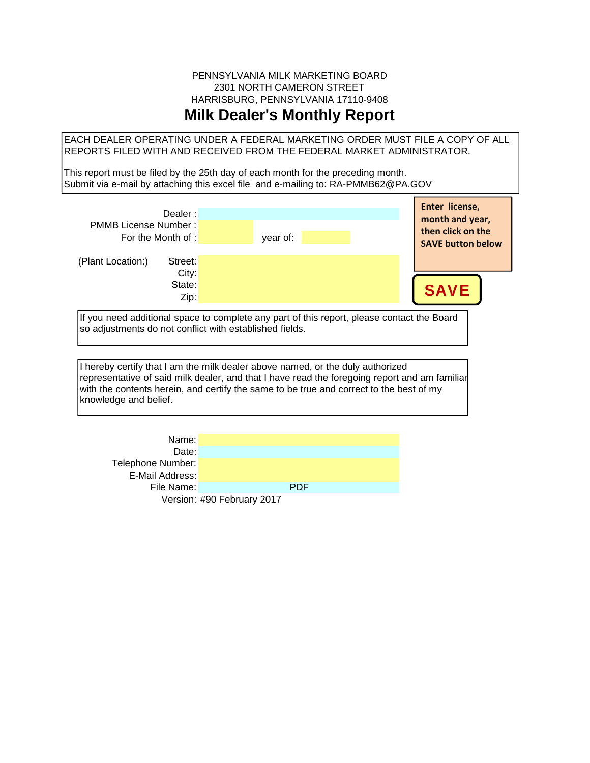### PENNSYLVANIA MILK MARKETING BOARD 2301 NORTH CAMERON STREET HARRISBURG, PENNSYLVANIA 17110-9408

# **Milk Dealer's Monthly Report**

EACH DEALER OPERATING UNDER A FEDERAL MARKETING ORDER MUST FILE A COPY OF ALL REPORTS FILED WITH AND RECEIVED FROM THE FEDERAL MARKET ADMINISTRATOR.

This report must be filed by the 25th day of each month for the preceding month. Submit via e-mail by attaching this excel file and e-mailing to: RA-PMMB62@PA.GOV

| <b>PMMB License Number:</b>                             | Dealer:<br>For the Month of : | year of: |                                                                                                                                                                                 | Enter license,<br>month and year,<br>then click on the<br><b>SAVE button below</b> |
|---------------------------------------------------------|-------------------------------|----------|---------------------------------------------------------------------------------------------------------------------------------------------------------------------------------|------------------------------------------------------------------------------------|
| (Plant Location:)                                       | Street:                       |          |                                                                                                                                                                                 |                                                                                    |
|                                                         | City:                         |          |                                                                                                                                                                                 |                                                                                    |
|                                                         | State:                        |          |                                                                                                                                                                                 |                                                                                    |
|                                                         | Zip:                          |          |                                                                                                                                                                                 | <b>SAVE</b>                                                                        |
| so adjustments do not conflict with established fields. |                               |          | If you need additional space to complete any part of this report, please contact the Board                                                                                      |                                                                                    |
|                                                         |                               |          |                                                                                                                                                                                 |                                                                                    |
|                                                         |                               |          | I hereby certify that I am the milk dealer above named, or the duly authorized<br>representative of said milk dealer, and that I have read the foregoing report and am familiar |                                                                                    |

with the contents herein, and certify the same to be true and correct to the best of my knowledge and belief.

| Name:             |                            |            |
|-------------------|----------------------------|------------|
| Date:             |                            |            |
| Telephone Number: |                            |            |
| E-Mail Address:   |                            |            |
| File Name:        |                            | <b>PDF</b> |
|                   | Version: #90 February 2017 |            |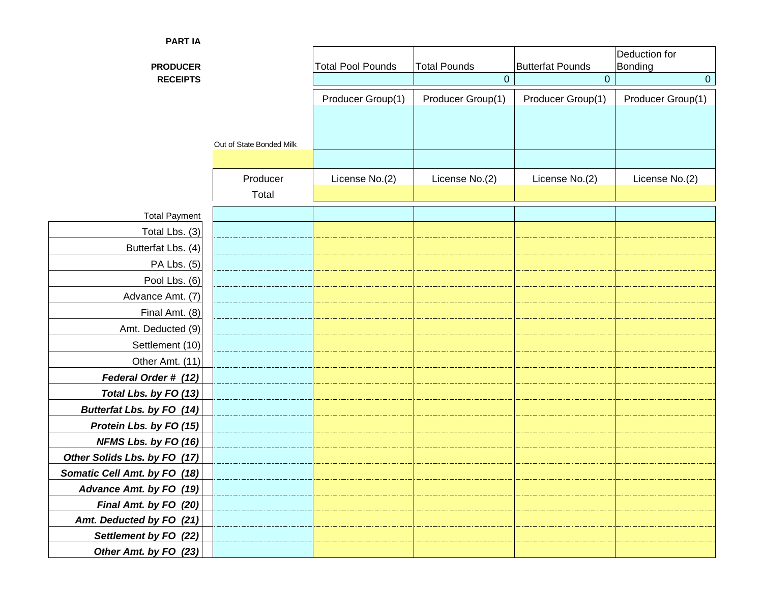| <b>PART IA</b>                   |                          |                          |                     |                         |                          |
|----------------------------------|--------------------------|--------------------------|---------------------|-------------------------|--------------------------|
| <b>PRODUCER</b>                  |                          | <b>Total Pool Pounds</b> | <b>Total Pounds</b> | <b>Butterfat Pounds</b> | Deduction for<br>Bonding |
| <b>RECEIPTS</b>                  |                          |                          | $\mathbf{0}$        | $\mathbf 0$             | $\overline{0}$           |
|                                  |                          | Producer Group(1)        | Producer Group(1)   | Producer Group(1)       | Producer Group(1)        |
|                                  |                          |                          |                     |                         |                          |
|                                  |                          |                          |                     |                         |                          |
|                                  | Out of State Bonded Milk |                          |                     |                         |                          |
|                                  |                          |                          |                     |                         |                          |
|                                  | Producer                 | License No.(2)           | License No.(2)      | License No.(2)          | License No.(2)           |
|                                  | Total                    |                          |                     |                         |                          |
| <b>Total Payment</b>             |                          |                          |                     |                         |                          |
| Total Lbs. (3)                   |                          |                          |                     |                         |                          |
| Butterfat Lbs. (4)               |                          |                          |                     |                         |                          |
| PA Lbs. (5)                      |                          |                          |                     |                         |                          |
| Pool Lbs. (6)                    |                          |                          |                     |                         |                          |
| Advance Amt. (7)                 |                          |                          |                     |                         |                          |
| Final Amt. (8)                   |                          |                          |                     |                         |                          |
| Amt. Deducted (9)                |                          |                          |                     |                         |                          |
| Settlement (10)                  |                          |                          |                     |                         |                          |
| Other Amt. (11)                  |                          |                          |                     |                         |                          |
| Federal Order # (12)             |                          |                          |                     |                         |                          |
| Total Lbs. by FO (13)            |                          |                          |                     |                         |                          |
| <b>Butterfat Lbs. by FO (14)</b> |                          |                          |                     |                         |                          |
| Protein Lbs. by FO (15)          |                          |                          |                     |                         |                          |
| NFMS Lbs. by FO (16)             |                          |                          |                     |                         |                          |
| Other Solids Lbs. by FO (17)     |                          |                          |                     |                         |                          |
| Somatic Cell Amt. by FO (18)     |                          |                          |                     |                         |                          |
| Advance Amt. by FO (19)          |                          |                          |                     |                         |                          |
| Final Amt. by FO (20)            |                          |                          |                     |                         |                          |
| Amt. Deducted by FO (21)         |                          |                          |                     |                         |                          |
| Settlement by FO (22)            |                          |                          |                     |                         |                          |
| Other Amt. by FO (23)            |                          |                          |                     |                         |                          |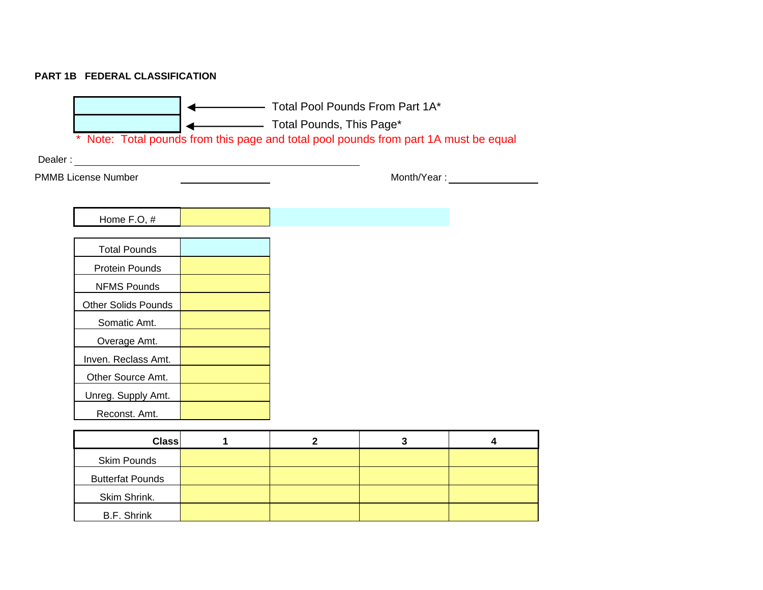### **PART 1B FEDERAL CLASSIFICATION**

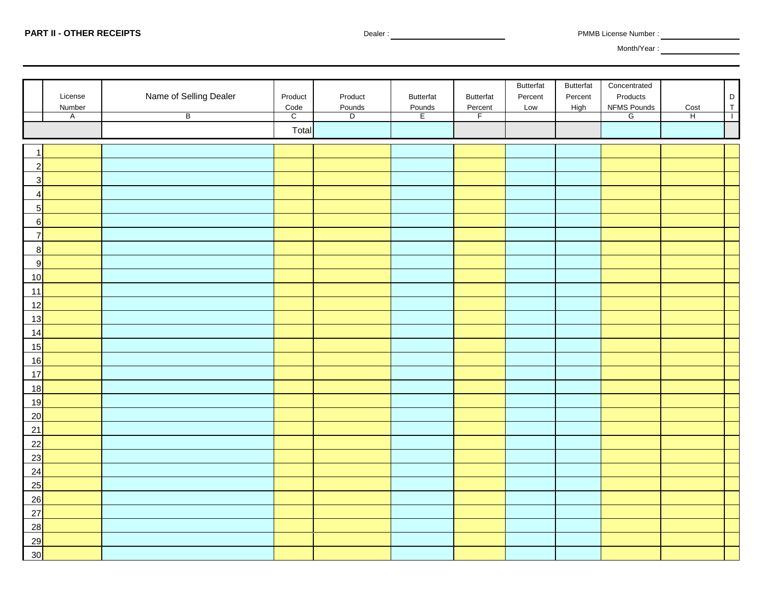Month/Year :

| License<br>Number<br>$\overline{A}$ | Name of Selling Dealer<br>B | Product<br>Code<br>$\overline{C}$<br>Total | Product<br>Pounds<br>$\overline{D}$ | <b>Butterfat</b><br>Pounds<br>E | <b>Butterfat</b><br>Percent<br>$\overline{F}$ | Butterfat<br>Percent<br>Low | Butterfat<br>Percent<br>High | Concentrated<br>Products<br>NFMS Pounds<br>G | Cost<br>$\overline{H}$ | $\mathsf D$<br>$\top$<br>$\top$ |
|-------------------------------------|-----------------------------|--------------------------------------------|-------------------------------------|---------------------------------|-----------------------------------------------|-----------------------------|------------------------------|----------------------------------------------|------------------------|---------------------------------|
| $\overline{1}$                      |                             |                                            |                                     |                                 |                                               |                             |                              |                                              |                        |                                 |
| $\overline{2}$                      |                             |                                            |                                     |                                 |                                               |                             |                              |                                              |                        |                                 |
| $\overline{3}$                      |                             |                                            |                                     |                                 |                                               |                             |                              |                                              |                        |                                 |
| $\overline{4}$                      |                             |                                            |                                     |                                 |                                               |                             |                              |                                              |                        |                                 |
| 5                                   |                             |                                            |                                     |                                 |                                               |                             |                              |                                              |                        |                                 |
| 6                                   |                             |                                            |                                     |                                 |                                               |                             |                              |                                              |                        |                                 |
| $\overline{7}$                      |                             |                                            |                                     |                                 |                                               |                             |                              |                                              |                        |                                 |
| 8                                   |                             |                                            |                                     |                                 |                                               |                             |                              |                                              |                        |                                 |
| 9                                   |                             |                                            |                                     |                                 |                                               |                             |                              |                                              |                        |                                 |
| 10                                  |                             |                                            |                                     |                                 |                                               |                             |                              |                                              |                        |                                 |
| $11$                                |                             |                                            |                                     |                                 |                                               |                             |                              |                                              |                        |                                 |
| 12                                  |                             |                                            |                                     |                                 |                                               |                             |                              |                                              |                        |                                 |
| 13                                  |                             |                                            |                                     |                                 |                                               |                             |                              |                                              |                        |                                 |
| 14                                  |                             |                                            |                                     |                                 |                                               |                             |                              |                                              |                        |                                 |
| 15                                  |                             |                                            |                                     |                                 |                                               |                             |                              |                                              |                        |                                 |
| 16                                  |                             |                                            |                                     |                                 |                                               |                             |                              |                                              |                        |                                 |
| 17                                  |                             |                                            |                                     |                                 |                                               |                             |                              |                                              |                        |                                 |
| 18                                  |                             |                                            |                                     |                                 |                                               |                             |                              |                                              |                        |                                 |
| 19                                  |                             |                                            |                                     |                                 |                                               |                             |                              |                                              |                        |                                 |
| 20                                  |                             |                                            |                                     |                                 |                                               |                             |                              |                                              |                        |                                 |
| 21                                  |                             |                                            |                                     |                                 |                                               |                             |                              |                                              |                        |                                 |
| 22                                  |                             |                                            |                                     |                                 |                                               |                             |                              |                                              |                        |                                 |
| 23                                  |                             |                                            |                                     |                                 |                                               |                             |                              |                                              |                        |                                 |
| 24                                  |                             |                                            |                                     |                                 |                                               |                             |                              |                                              |                        |                                 |
| 25                                  |                             |                                            |                                     |                                 |                                               |                             |                              |                                              |                        |                                 |
| 26                                  |                             |                                            |                                     |                                 |                                               |                             |                              |                                              |                        |                                 |
| 27                                  |                             |                                            |                                     |                                 |                                               |                             |                              |                                              |                        |                                 |
| 28                                  |                             |                                            |                                     |                                 |                                               |                             |                              |                                              |                        |                                 |
| 29                                  |                             |                                            |                                     |                                 |                                               |                             |                              |                                              |                        |                                 |
| 30 <sup>l</sup>                     |                             |                                            |                                     |                                 |                                               |                             |                              |                                              |                        |                                 |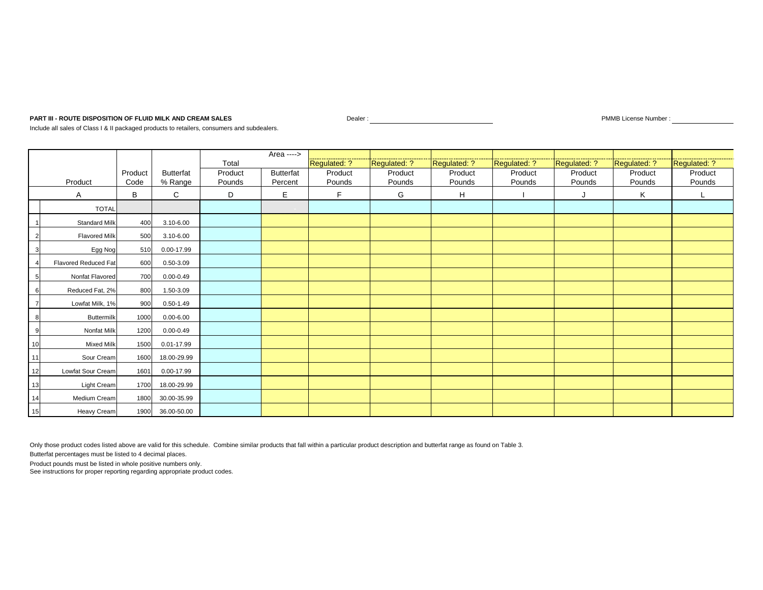#### **PART III - ROUTE DISPOSITION OF FLUID MILK AND CREAM SALES Dealer : Dealer :**

PMMB License Number :

Include all sales of Class I & II packaged products to retailers, consumers and subdealers.

|    |                      |         |                  |         | Area ---->       |              |              |                     |              |              |              |              |
|----|----------------------|---------|------------------|---------|------------------|--------------|--------------|---------------------|--------------|--------------|--------------|--------------|
|    |                      |         |                  | Total   |                  | Regulated: ? | Regulated: ? | <b>Regulated: ?</b> | Regulated: ? | Regulated: ? | Regulated: ? | Regulated: ? |
|    |                      | Product | <b>Butterfat</b> | Product | <b>Butterfat</b> | Product      | Product      | Product             | Product      | Product      | Product      | Product      |
|    | Product              | Code    | % Range          | Pounds  | Percent          | Pounds       | Pounds       | Pounds              | Pounds       | Pounds       | Pounds       | Pounds       |
|    | Α                    | B       | C                | D       | E                | E            | G            | H                   |              | J            | Κ            | L            |
|    | <b>TOTAL</b>         |         |                  |         |                  |              |              |                     |              |              |              |              |
|    | <b>Standard Milk</b> | 400     | 3.10-6.00        |         |                  |              |              |                     |              |              |              |              |
|    | <b>Flavored Milk</b> | 500     | 3.10-6.00        |         |                  |              |              |                     |              |              |              |              |
|    | Egg Nog              | 510     | 0.00-17.99       |         |                  |              |              |                     |              |              |              |              |
|    | Flavored Reduced Fat | 600     | $0.50 - 3.09$    |         |                  |              |              |                     |              |              |              |              |
|    | Nonfat Flavored      | 700     | $0.00 - 0.49$    |         |                  |              |              |                     |              |              |              |              |
|    | Reduced Fat, 2%      | 800     | 1.50-3.09        |         |                  |              |              |                     |              |              |              |              |
|    | Lowfat Milk, 1%      | 900     | $0.50 - 1.49$    |         |                  |              |              |                     |              |              |              |              |
| 8  | <b>Buttermilk</b>    | 1000    | $0.00 - 6.00$    |         |                  |              |              |                     |              |              |              |              |
|    | <b>Nonfat Milk</b>   | 1200    | $0.00 - 0.49$    |         |                  |              |              |                     |              |              |              |              |
| 10 | <b>Mixed Milk</b>    | 1500    | $0.01 - 17.99$   |         |                  |              |              |                     |              |              |              |              |
| 11 | Sour Cream           | 1600    | 18.00-29.99      |         |                  |              |              |                     |              |              |              |              |
| 12 | Lowfat Sour Cream    | 1601    | 0.00-17.99       |         |                  |              |              |                     |              |              |              |              |
| 13 | <b>Light Cream</b>   | 1700    | 18.00-29.99      |         |                  |              |              |                     |              |              |              |              |
| 14 | Medium Cream         | 1800    | 30.00-35.99      |         |                  |              |              |                     |              |              |              |              |
| 15 | <b>Heavy Cream</b>   | 1900    | 36.00-50.00      |         |                  |              |              |                     |              |              |              |              |

Only those product codes listed above are valid for this schedule. Combine similar products that fall within a particular product description and butterfat range as found on Table 3.

Butterfat percentages must be listed to 4 decimal places.

Product pounds must be listed in whole positive numbers only.

See instructions for proper reporting regarding appropriate product codes.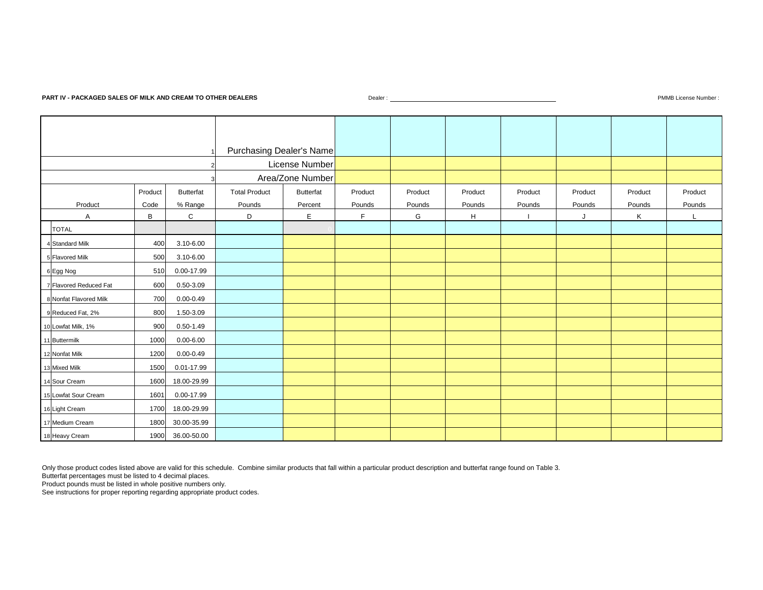#### **PART IV - PACKAGED SALES OF MILK AND CREAM TO OTHER DEALERS**

Dealer : Note and the Community of the Community of the Community of the PMMB License Number :

|                        |              |                  | Purchasing Dealer's Name |                  |         |         |             |         |         |         |         |
|------------------------|--------------|------------------|--------------------------|------------------|---------|---------|-------------|---------|---------|---------|---------|
|                        |              |                  |                          | License Number   |         |         |             |         |         |         |         |
|                        |              |                  |                          | Area/Zone Number |         |         |             |         |         |         |         |
|                        | Product      | <b>Butterfat</b> | <b>Total Product</b>     | <b>Butterfat</b> | Product | Product | Product     | Product | Product | Product | Product |
| Product                | Code         | % Range          | Pounds                   | Percent          | Pounds  | Pounds  | Pounds      | Pounds  | Pounds  | Pounds  | Pounds  |
| A                      | $\, {\bf B}$ | $\mathbf C$      | D                        | $\mathsf E$      | F       | G       | $\mathsf H$ |         | J       | Κ       | L       |
| <b>TOTAL</b>           |              |                  |                          |                  |         |         |             |         |         |         |         |
| <b>Standard Milk</b>   | 400          | 3.10-6.00        |                          |                  |         |         |             |         |         |         |         |
| 5 Flavored Milk        | 500          | 3.10-6.00        |                          |                  |         |         |             |         |         |         |         |
| 6 Egg Nog              | 510          | 0.00-17.99       |                          |                  |         |         |             |         |         |         |         |
| 7 Flavored Reduced Fat | 600          | 0.50-3.09        |                          |                  |         |         |             |         |         |         |         |
| 8 Nonfat Flavored Milk | 700          | $0.00 - 0.49$    |                          |                  |         |         |             |         |         |         |         |
| 9 Reduced Fat, 2%      | 800          | 1.50-3.09        |                          |                  |         |         |             |         |         |         |         |
| 10 Lowfat Milk, 1%     | 900          | $0.50 - 1.49$    |                          |                  |         |         |             |         |         |         |         |
| 11 Buttermilk          | 1000         | $0.00 - 6.00$    |                          |                  |         |         |             |         |         |         |         |
| 12 Nonfat Milk         | 1200         | $0.00 - 0.49$    |                          |                  |         |         |             |         |         |         |         |
| 13 Mixed Milk          | 1500         | 0.01-17.99       |                          |                  |         |         |             |         |         |         |         |
| 14 Sour Cream          | 1600         | 18.00-29.99      |                          |                  |         |         |             |         |         |         |         |
| 15 Lowfat Sour Cream   | 1601         | 0.00-17.99       |                          |                  |         |         |             |         |         |         |         |
| 16 Light Cream         | 1700         | 18.00-29.99      |                          |                  |         |         |             |         |         |         |         |
| 17 Medium Cream        | 1800         | 30.00-35.99      |                          |                  |         |         |             |         |         |         |         |
| 18 Heavy Cream         | 1900         | 36.00-50.00      |                          |                  |         |         |             |         |         |         |         |

Only those product codes listed above are valid for this schedule. Combine similar products that fall within a particular product description and butterfat range found on Table 3.

Butterfat percentages must be listed to 4 decimal places.

Product pounds must be listed in whole positive numbers only.

See instructions for proper reporting regarding appropriate product codes.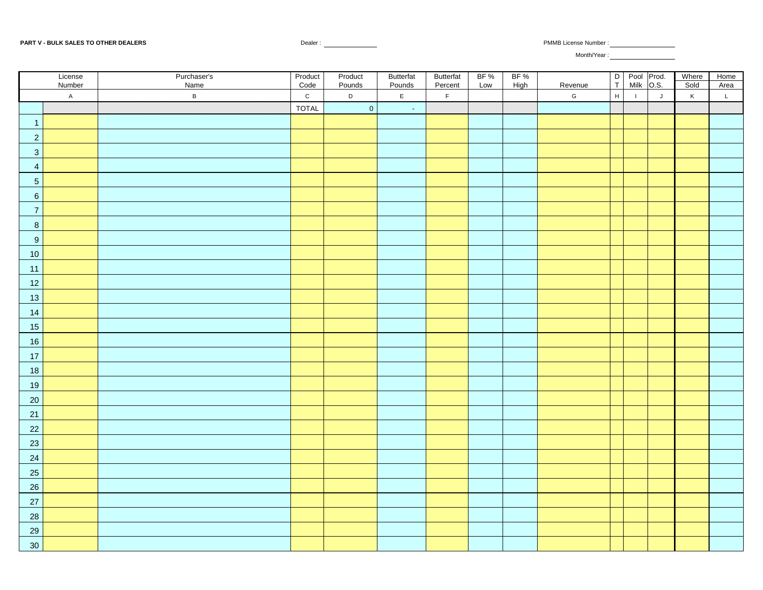Dealer : PMMB License Number :

Month/Year :

|                  | License<br>Number | Purchaser's<br>Name | Product<br>Code | Product<br>Pounds | Butterfat<br>Pounds | Butterfat<br>Percent | BF%<br>Low | BF%<br>High | Revenue       |              | D Pool Prod.<br>T Milk O.S. |              | Where<br>Sold | Home<br>Area |
|------------------|-------------------|---------------------|-----------------|-------------------|---------------------|----------------------|------------|-------------|---------------|--------------|-----------------------------|--------------|---------------|--------------|
|                  | $\overline{A}$    | $\mathsf B$         | ${\bf C}$       | $\mathsf D$       | $\mathsf E$         | $\mathsf F$          |            |             | ${\mathsf G}$ | $\mathsf{H}$ | $\overline{1}$              | $\mathsf{J}$ | $\mathsf K$   | $\mathsf L$  |
|                  |                   |                     | <b>TOTAL</b>    | $\overline{0}$    | $\omega$            |                      |            |             |               |              |                             |              |               |              |
| -1               |                   |                     |                 |                   |                     |                      |            |             |               |              |                             |              |               |              |
| $\overline{2}$   |                   |                     |                 |                   |                     |                      |            |             |               |              |                             |              |               |              |
| $\mathbf{3}$     |                   |                     |                 |                   |                     |                      |            |             |               |              |                             |              |               |              |
| $\overline{4}$   |                   |                     |                 |                   |                     |                      |            |             |               |              |                             |              |               |              |
| $\sqrt{5}$       |                   |                     |                 |                   |                     |                      |            |             |               |              |                             |              |               |              |
| $6\phantom{.}$   |                   |                     |                 |                   |                     |                      |            |             |               |              |                             |              |               |              |
| $\overline{7}$   |                   |                     |                 |                   |                     |                      |            |             |               |              |                             |              |               |              |
| $\boldsymbol{8}$ |                   |                     |                 |                   |                     |                      |            |             |               |              |                             |              |               |              |
| $9\,$            |                   |                     |                 |                   |                     |                      |            |             |               |              |                             |              |               |              |
| 10               |                   |                     |                 |                   |                     |                      |            |             |               |              |                             |              |               |              |
| 11               |                   |                     |                 |                   |                     |                      |            |             |               |              |                             |              |               |              |
| 12               |                   |                     |                 |                   |                     |                      |            |             |               |              |                             |              |               |              |
| 13               |                   |                     |                 |                   |                     |                      |            |             |               |              |                             |              |               |              |
| $14$             |                   |                     |                 |                   |                     |                      |            |             |               |              |                             |              |               |              |
| 15               |                   |                     |                 |                   |                     |                      |            |             |               |              |                             |              |               |              |
| 16               |                   |                     |                 |                   |                     |                      |            |             |               |              |                             |              |               |              |
| 17               |                   |                     |                 |                   |                     |                      |            |             |               |              |                             |              |               |              |
| 18               |                   |                     |                 |                   |                     |                      |            |             |               |              |                             |              |               |              |
| 19               |                   |                     |                 |                   |                     |                      |            |             |               |              |                             |              |               |              |
| $20\,$           |                   |                     |                 |                   |                     |                      |            |             |               |              |                             |              |               |              |
| 21               |                   |                     |                 |                   |                     |                      |            |             |               |              |                             |              |               |              |
| 22               |                   |                     |                 |                   |                     |                      |            |             |               |              |                             |              |               |              |
| 23               |                   |                     |                 |                   |                     |                      |            |             |               |              |                             |              |               |              |
| 24               |                   |                     |                 |                   |                     |                      |            |             |               |              |                             |              |               |              |
| 25               |                   |                     |                 |                   |                     |                      |            |             |               |              |                             |              |               |              |
| $26\,$           |                   |                     |                 |                   |                     |                      |            |             |               |              |                             |              |               |              |
| 27               |                   |                     |                 |                   |                     |                      |            |             |               |              |                             |              |               |              |
| 28               |                   |                     |                 |                   |                     |                      |            |             |               |              |                             |              |               |              |
| 29               |                   |                     |                 |                   |                     |                      |            |             |               |              |                             |              |               |              |
| $30\,$           |                   |                     |                 |                   |                     |                      |            |             |               |              |                             |              |               |              |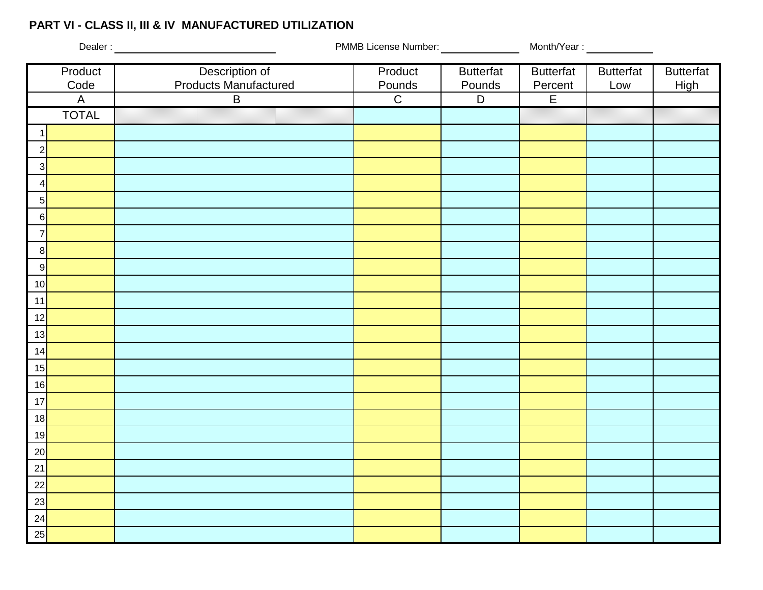## **PART VI - CLASS II, III & IV MANUFACTURED UTILIZATION**

|                  | $\overline{\phantom{a}}$<br>Dealer: Note and the set of the set of the set of the set of the set of the set of the set of the set of the set of the set of the set of the set of the set of the set of the set of the set of the set of the set of the set | PMMB License Number: _______________ |                            |                             | Month/Year: ______________ |                          |
|------------------|------------------------------------------------------------------------------------------------------------------------------------------------------------------------------------------------------------------------------------------------------------|--------------------------------------|----------------------------|-----------------------------|----------------------------|--------------------------|
| Product<br>Code  | Description of<br><b>Products Manufactured</b>                                                                                                                                                                                                             | Product<br>Pounds<br>$\overline{C}$  | <b>Butterfat</b><br>Pounds | <b>Butterfat</b><br>Percent | <b>Butterfat</b><br>Low    | <b>Butterfat</b><br>High |
| $\mathsf{A}$     | $\, {\bf B}$                                                                                                                                                                                                                                               |                                      | $\mathsf D$                | E                           |                            |                          |
| <b>TOTAL</b>     |                                                                                                                                                                                                                                                            |                                      |                            |                             |                            |                          |
| -1               |                                                                                                                                                                                                                                                            |                                      |                            |                             |                            |                          |
| $\overline{2}$   |                                                                                                                                                                                                                                                            |                                      |                            |                             |                            |                          |
| $\mathbf{3}$     |                                                                                                                                                                                                                                                            |                                      |                            |                             |                            |                          |
| 4                |                                                                                                                                                                                                                                                            |                                      |                            |                             |                            |                          |
| $\sqrt{5}$       |                                                                                                                                                                                                                                                            |                                      |                            |                             |                            |                          |
| $6 \overline{6}$ |                                                                                                                                                                                                                                                            |                                      |                            |                             |                            |                          |
| $\overline{7}$   |                                                                                                                                                                                                                                                            |                                      |                            |                             |                            |                          |
| 8                |                                                                                                                                                                                                                                                            |                                      |                            |                             |                            |                          |
| 9                |                                                                                                                                                                                                                                                            |                                      |                            |                             |                            |                          |
| 10               |                                                                                                                                                                                                                                                            |                                      |                            |                             |                            |                          |
| 11               |                                                                                                                                                                                                                                                            |                                      |                            |                             |                            |                          |
| 12               |                                                                                                                                                                                                                                                            |                                      |                            |                             |                            |                          |
| 13               |                                                                                                                                                                                                                                                            |                                      |                            |                             |                            |                          |
| 14               |                                                                                                                                                                                                                                                            |                                      |                            |                             |                            |                          |
| 15               |                                                                                                                                                                                                                                                            |                                      |                            |                             |                            |                          |
| 16               |                                                                                                                                                                                                                                                            |                                      |                            |                             |                            |                          |
| 17               |                                                                                                                                                                                                                                                            |                                      |                            |                             |                            |                          |
| 18               |                                                                                                                                                                                                                                                            |                                      |                            |                             |                            |                          |
| 19               |                                                                                                                                                                                                                                                            |                                      |                            |                             |                            |                          |
| 20               |                                                                                                                                                                                                                                                            |                                      |                            |                             |                            |                          |
| $21$             |                                                                                                                                                                                                                                                            |                                      |                            |                             |                            |                          |
| 22               |                                                                                                                                                                                                                                                            |                                      |                            |                             |                            |                          |
| 23               |                                                                                                                                                                                                                                                            |                                      |                            |                             |                            |                          |
| 24               |                                                                                                                                                                                                                                                            |                                      |                            |                             |                            |                          |
| 25               |                                                                                                                                                                                                                                                            |                                      |                            |                             |                            |                          |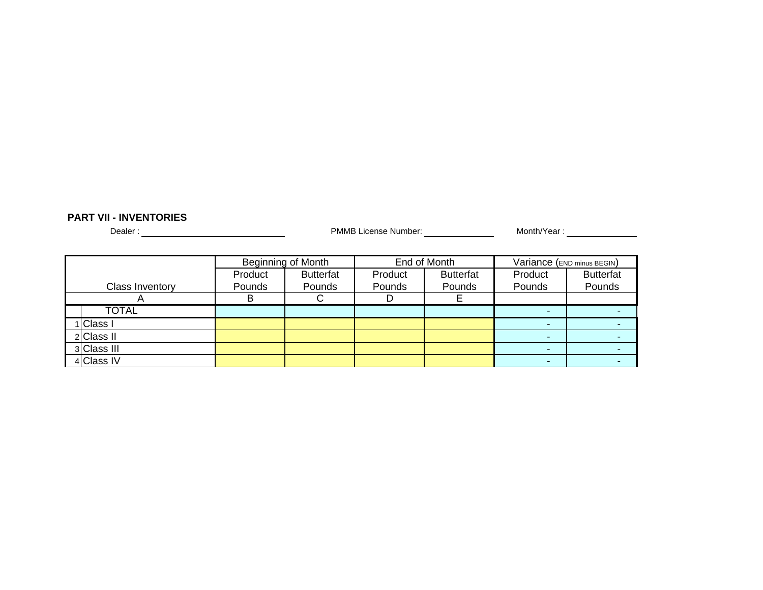#### **PART VII - INVENTORIES**

Dealer : PMMB License Number: Month/Year :

|                        |         | Beginning of Month |         | End of Month     | Variance (END minus BEGIN) |                  |
|------------------------|---------|--------------------|---------|------------------|----------------------------|------------------|
|                        | Product | <b>Butterfat</b>   | Product | <b>Butterfat</b> | Product                    | <b>Butterfat</b> |
| <b>Class Inventory</b> | Pounds  | Pounds             | Pounds  | Pounds           | Pounds                     | Pounds           |
|                        | в       |                    | ע       |                  |                            |                  |
| <b>TOTAL</b>           |         |                    |         |                  |                            |                  |
| 1 Class I              |         |                    |         |                  |                            |                  |
| 2 Class II             |         |                    |         |                  |                            |                  |
| 3 Class III            |         |                    |         |                  |                            |                  |
| 4 Class IV             |         |                    |         |                  |                            |                  |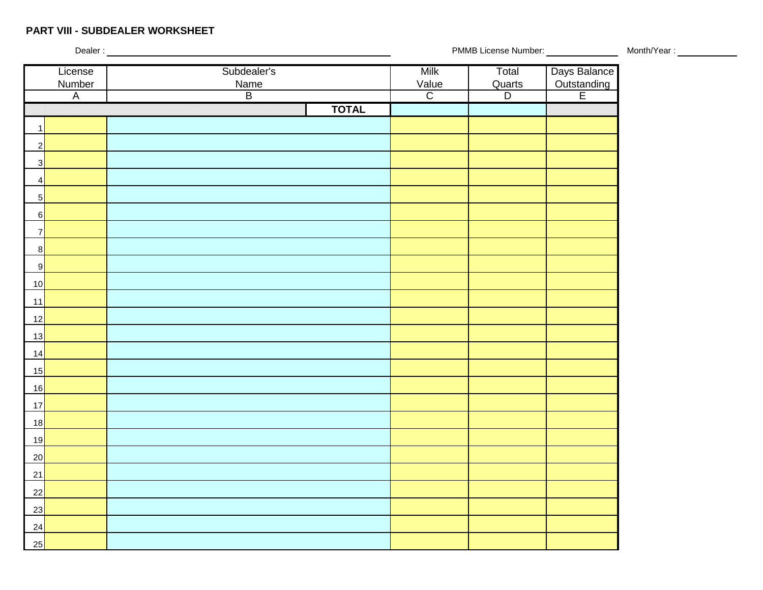|         | PART VIII - SUBDEALER WORKSHEET |  |
|---------|---------------------------------|--|
| Dealer: |                                 |  |

PMMB License Number: Month/Year :

| License                   | Subdealer's                    | Milk                    | Total                    | Days Balance<br>Outstanding<br>E |
|---------------------------|--------------------------------|-------------------------|--------------------------|----------------------------------|
| Number                    | <b>Name</b>                    | Value<br>$\overline{C}$ | Quarts<br>$\overline{D}$ |                                  |
| $\overline{\mathsf{A}}$   | $\overline{B}$<br><b>TOTAL</b> |                         |                          |                                  |
|                           |                                |                         |                          |                                  |
| $\mathbf{1}$              |                                |                         |                          |                                  |
| $\boldsymbol{2}$          |                                |                         |                          |                                  |
| $\ensuremath{\mathsf{3}}$ |                                |                         |                          |                                  |
| $\overline{\mathbf{4}}$   |                                |                         |                          |                                  |
| $\mathbf 5$               |                                |                         |                          |                                  |
| $\,6$                     |                                |                         |                          |                                  |
| $\overline{\mathbf{7}}$   |                                |                         |                          |                                  |
| $\bf8$                    |                                |                         |                          |                                  |
| $\overline{9}$            |                                |                         |                          |                                  |
| 10                        |                                |                         |                          |                                  |
| 11                        |                                |                         |                          |                                  |
| 12                        |                                |                         |                          |                                  |
| 13                        |                                |                         |                          |                                  |
| 14                        |                                |                         |                          |                                  |
| 15                        |                                |                         |                          |                                  |
| 16                        |                                |                         |                          |                                  |
|                           |                                |                         |                          |                                  |
| 17                        |                                |                         |                          |                                  |
| 18                        |                                |                         |                          |                                  |
| 19                        |                                |                         |                          |                                  |
| 20                        |                                |                         |                          |                                  |
| 21                        |                                |                         |                          |                                  |
| 22                        |                                |                         |                          |                                  |
| 23                        |                                |                         |                          |                                  |
| 24                        |                                |                         |                          |                                  |
| 25                        |                                |                         |                          |                                  |